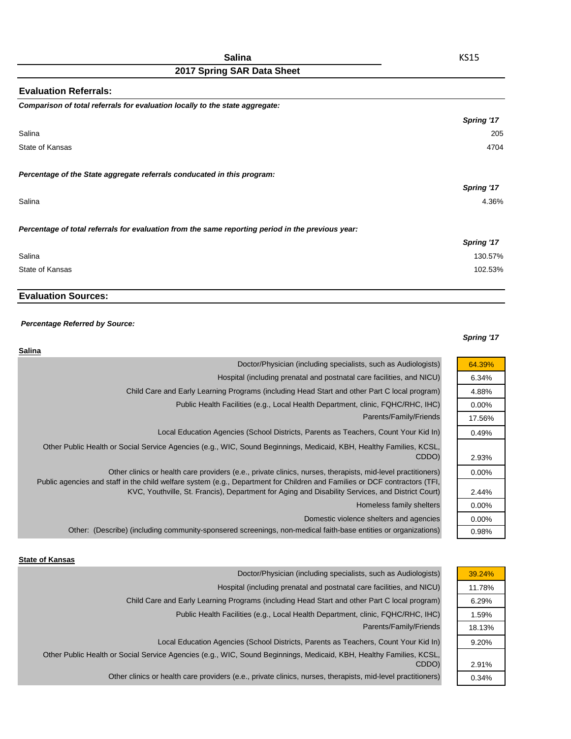| <b>Evaluation Referrals:</b>                                                                      |            |
|---------------------------------------------------------------------------------------------------|------------|
| Comparison of total referrals for evaluation locally to the state aggregate:                      |            |
|                                                                                                   | Spring '17 |
| Salina                                                                                            | 205        |
| State of Kansas                                                                                   | 4704       |
| Percentage of the State aggregate referrals conducated in this program:                           |            |
|                                                                                                   | Spring '17 |
| Salina                                                                                            | 4.36%      |
| Percentage of total referrals for evaluation from the same reporting period in the previous year: |            |
|                                                                                                   | Spring '17 |
| Salina                                                                                            | 130.57%    |
| State of Kansas                                                                                   | 102.53%    |

## **Evaluation Sources:**

### *Percentage Referred by Source:*

### *Spring '17*

| Salina                                                                                                                                                                                                                                    |          |
|-------------------------------------------------------------------------------------------------------------------------------------------------------------------------------------------------------------------------------------------|----------|
| Doctor/Physician (including specialists, such as Audiologists)                                                                                                                                                                            | 64.39%   |
| Hospital (including prenatal and postnatal care facilities, and NICU)                                                                                                                                                                     | 6.34%    |
| Child Care and Early Learning Programs (including Head Start and other Part C local program)                                                                                                                                              | 4.88%    |
| Public Health Facilities (e.g., Local Health Department, clinic, FQHC/RHC, IHC)                                                                                                                                                           | $0.00\%$ |
| Parents/Family/Friends                                                                                                                                                                                                                    | 17.56%   |
| Local Education Agencies (School Districts, Parents as Teachers, Count Your Kid In)                                                                                                                                                       | 0.49%    |
| Other Public Health or Social Service Agencies (e.g., WIC, Sound Beginnings, Medicaid, KBH, Healthy Families, KCSL,<br>CDDO)                                                                                                              | 2.93%    |
| Other clinics or health care providers (e.e., private clinics, nurses, therapists, mid-level practitioners)<br>Public agencies and staff in the child welfare system (e.g., Department for Children and Families or DCF contractors (TFI, | $0.00\%$ |
| KVC, Youthville, St. Francis), Department for Aging and Disability Services, and District Court)                                                                                                                                          | 2.44%    |
| Homeless family shelters                                                                                                                                                                                                                  | $0.00\%$ |
| Domestic violence shelters and agencies                                                                                                                                                                                                   | $0.00\%$ |
| Other: (Describe) (including community-sponsered screenings, non-medical faith-base entities or organizations)                                                                                                                            | 0.98%    |

#### **State of Kansas**

| Doctor/Physician (including specialists, such as Audiologists)                                                      | 39.24% |
|---------------------------------------------------------------------------------------------------------------------|--------|
| Hospital (including prenatal and postnatal care facilities, and NICU)                                               | 11.78% |
| Child Care and Early Learning Programs (including Head Start and other Part C local program)                        | 6.29%  |
| Public Health Facilities (e.g., Local Health Department, clinic, FQHC/RHC, IHC)                                     | 1.59%  |
| Parents/Family/Friends                                                                                              | 18.13% |
| Local Education Agencies (School Districts, Parents as Teachers, Count Your Kid In)                                 | 9.20%  |
| Other Public Health or Social Service Agencies (e.g., WIC, Sound Beginnings, Medicaid, KBH, Healthy Families, KCSL, |        |
| CDDO)                                                                                                               | 2.91%  |
| Other clinics or health care providers (e.e., private clinics, nurses, therapists, mid-level practitioners)         | 0.34%  |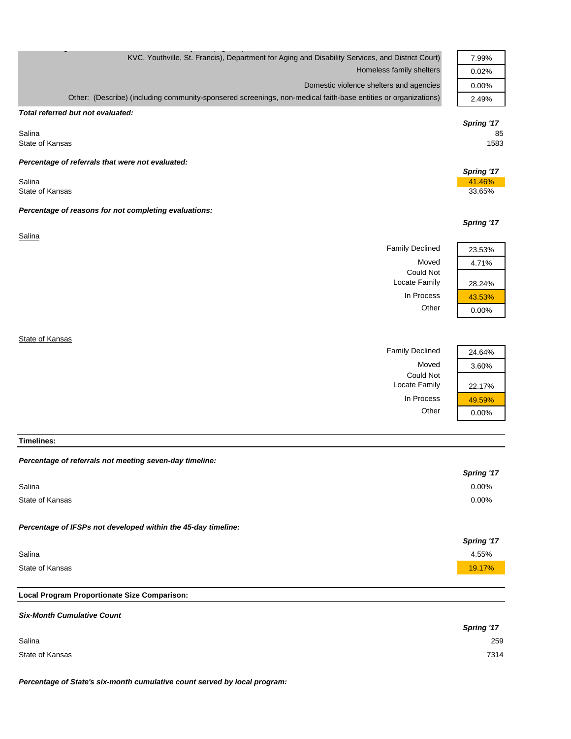| KVC, Youthville, St. Francis), Department for Aging and Disability Services, and District Court)               | 7.99%                |
|----------------------------------------------------------------------------------------------------------------|----------------------|
| Homeless family shelters                                                                                       | 0.02%                |
| Domestic violence shelters and agencies                                                                        | 0.00%                |
| Other: (Describe) (including community-sponsered screenings, non-medical faith-base entities or organizations) | 2.49%                |
| Total referred but not evaluated:                                                                              |                      |
|                                                                                                                | Spring '17           |
| Salina<br>State of Kansas                                                                                      | 85<br>1583           |
| Percentage of referrals that were not evaluated:                                                               |                      |
| Salina                                                                                                         | Spring '17<br>41.46% |
| State of Kansas                                                                                                | 33.65%               |
| Percentage of reasons for not completing evaluations:                                                          |                      |
|                                                                                                                | Spring '17           |
| Salina                                                                                                         |                      |
| <b>Family Declined</b>                                                                                         | 23.53%               |
| Moved                                                                                                          | 4.71%                |
| <b>Could Not</b><br>Locate Family                                                                              | 28.24%               |
| In Process                                                                                                     | 43.53%               |
| Other                                                                                                          | 0.00%                |
|                                                                                                                |                      |
| State of Kansas                                                                                                |                      |
| <b>Family Declined</b>                                                                                         | 24.64%               |
| Moved                                                                                                          | 3.60%                |
| <b>Could Not</b>                                                                                               |                      |

g  $\mathcal{G}$  , p (  $\mathcal{G}$  ,  $\mathcal{G}$  ,  $\mathcal{G}$  ,  $\mathcal{G}$  ,  $\mathcal{G}$  ,  $\mathcal{G}$  ,  $\mathcal{G}$  ,  $\mathcal{G}$  ,  $\mathcal{G}$  ,  $\mathcal{G}$  ,  $\mathcal{G}$  ,  $\mathcal{G}$  ,  $\mathcal{G}$  ,  $\mathcal{G}$  ,  $\mathcal{G}$  ,  $\mathcal{G}$  ,  $\mathcal{G}$  ,  $\mathcal{G}$  ,  $\mathcal{G$ 

#### **Timelines:**

| Percentage of referrals not meeting seven-day timeline:       |            |
|---------------------------------------------------------------|------------|
|                                                               | Spring '17 |
| Salina                                                        | 0.00%      |
| State of Kansas                                               | $0.00\%$   |
|                                                               |            |
| Percentage of IFSPs not developed within the 45-day timeline: |            |
|                                                               | Spring '17 |
| Salina                                                        | 4.55%      |
| State of Kansas                                               | 19.17%     |
|                                                               |            |
|                                                               |            |

Locate Family | 22.17% In Process  $\frac{49.59\%}{0.00\%}$ 

 $0.00%$ 

# **Local Program Proportionate Size Comparison:**

| <b>Six-Month Cumulative Count</b> |                   |
|-----------------------------------|-------------------|
|                                   | <b>Spring '17</b> |
| Salina                            | 259               |
| State of Kansas                   | 7314              |

*Percentage of State's six-month cumulative count served by local program:*